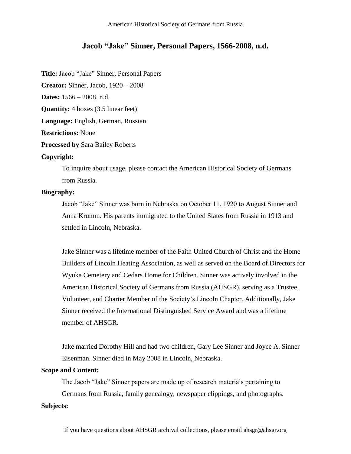# **Jacob "Jake" Sinner, Personal Papers, 1566-2008, n.d.**

**Title:** Jacob "Jake" Sinner, Personal Papers

**Creator:** Sinner, Jacob, 1920 – 2008

**Dates:** 1566 – 2008, n.d.

**Quantity:** 4 boxes (3.5 linear feet)

**Language:** English, German, Russian

**Restrictions:** None

**Processed by** Sara Bailey Roberts

#### **Copyright:**

To inquire about usage, please contact the American Historical Society of Germans from Russia.

### **Biography:**

Jacob "Jake" Sinner was born in Nebraska on October 11, 1920 to August Sinner and Anna Krumm. His parents immigrated to the United States from Russia in 1913 and settled in Lincoln, Nebraska.

Jake Sinner was a lifetime member of the Faith United Church of Christ and the Home Builders of Lincoln Heating Association, as well as served on the Board of Directors for Wyuka Cemetery and Cedars Home for Children. Sinner was actively involved in the American Historical Society of Germans from Russia (AHSGR), serving as a Trustee, Volunteer, and Charter Member of the Society's Lincoln Chapter. Additionally, Jake Sinner received the International Distinguished Service Award and was a lifetime member of AHSGR.

Jake married Dorothy Hill and had two children, Gary Lee Sinner and Joyce A. Sinner Eisenman. Sinner died in May 2008 in Lincoln, Nebraska.

### **Scope and Content:**

The Jacob "Jake" Sinner papers are made up of research materials pertaining to Germans from Russia, family genealogy, newspaper clippings, and photographs. **Subjects:**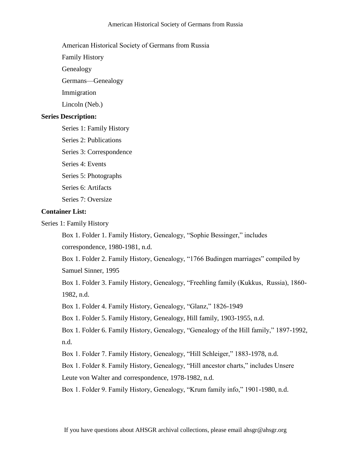### American Historical Society of Germans from Russia

Family History

Genealogy

Germans—Genealogy

Immigration

Lincoln (Neb.)

## **Series Description:**

Series 1: Family History

Series 2: Publications

Series 3: Correspondence

Series 4: Events

Series 5: Photographs

Series 6: Artifacts

Series 7: Oversize

## **Container List:**

Series 1: Family History

Box 1. Folder 1. Family History, Genealogy, "Sophie Bessinger," includes

correspondence, 1980-1981, n.d.

Box 1. Folder 2. Family History, Genealogy, "1766 Budingen marriages" compiled by Samuel Sinner, 1995

Box 1. Folder 3. Family History, Genealogy, "Freehling family (Kukkus, Russia), 1860- 1982, n.d.

Box 1. Folder 4. Family History, Genealogy, "Glanz," 1826-1949

Box 1. Folder 5. Family History, Genealogy, Hill family, 1903-1955, n.d.

Box 1. Folder 6. Family History, Genealogy, "Genealogy of the Hill family," 1897-1992, n.d.

Box 1. Folder 7. Family History, Genealogy, "Hill Schleiger," 1883-1978, n.d.

Box 1. Folder 8. Family History, Genealogy, "Hill ancestor charts," includes Unsere

Leute von Walter and correspondence, 1978-1982, n.d.

Box 1. Folder 9. Family History, Genealogy, "Krum family info," 1901-1980, n.d.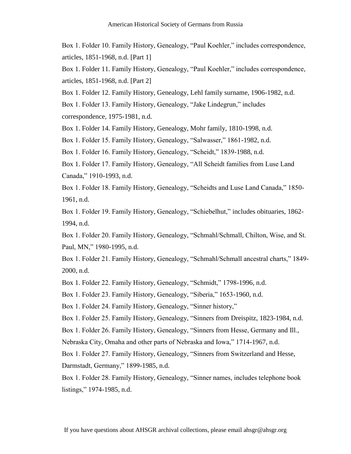Box 1. Folder 10. Family History, Genealogy, "Paul Koehler," includes correspondence, articles, 1851-1968, n.d. [Part 1]

Box 1. Folder 11. Family History, Genealogy, "Paul Koehler," includes correspondence, articles, 1851-1968, n.d. [Part 2]

Box 1. Folder 12. Family History, Genealogy, Lehl family surname, 1906-1982, n.d.

Box 1. Folder 13. Family History, Genealogy, "Jake Lindegrun," includes correspondence, 1975-1981, n.d.

Box 1. Folder 14. Family History, Genealogy, Mohr family, 1810-1998, n.d.

Box 1. Folder 15. Family History, Genealogy, "Salwasser," 1861-1982, n.d.

Box 1. Folder 16. Family History, Genealogy, "Scheidt," 1839-1988, n.d.

Box 1. Folder 17. Family History, Genealogy, "All Scheidt families from Luse Land Canada," 1910-1993, n.d.

Box 1. Folder 18. Family History, Genealogy, "Scheidts and Luse Land Canada," 1850- 1961, n.d.

Box 1. Folder 19. Family History, Genealogy, "Schiebelhut," includes obituaries, 1862- 1994, n.d.

Box 1. Folder 20. Family History, Genealogy, "Schmahl/Schmall, Chilton, Wise, and St. Paul, MN," 1980-1995, n.d.

Box 1. Folder 21. Family History, Genealogy, "Schmahl/Schmall ancestral charts," 1849- 2000, n.d.

Box 1. Folder 22. Family History, Genealogy, "Schmidt," 1798-1996, n.d.

Box 1. Folder 23. Family History, Genealogy, "Siberia," 1653-1960, n.d.

Box 1. Folder 24. Family History, Genealogy, "Sinner history,"

Box 1. Folder 25. Family History, Genealogy, "Sinners from Dreispitz, 1823-1984, n.d.

Box 1. Folder 26. Family History, Genealogy, "Sinners from Hesse, Germany and Ill.,

Nebraska City, Omaha and other parts of Nebraska and Iowa," 1714-1967, n.d.

Box 1. Folder 27. Family History, Genealogy, "Sinners from Switzerland and Hesse, Darmstadt, Germany," 1899-1985, n.d.

Box 1. Folder 28. Family History, Genealogy, "Sinner names, includes telephone book listings," 1974-1985, n.d.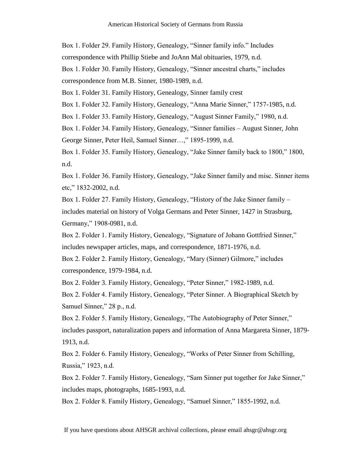Box 1. Folder 29. Family History, Genealogy, "Sinner family info." Includes correspondence with Phillip Stiebe and JoAnn Mal obituaries, 1979, n.d. Box 1. Folder 30. Family History, Genealogy, "Sinner ancestral charts," includes correspondence from M.B. Sinner, 1980-1989, n.d. Box 1. Folder 31. Family History, Genealogy, Sinner family crest Box 1. Folder 32. Family History, Genealogy, "Anna Marie Sinner," 1757-1985, n.d. Box 1. Folder 33. Family History, Genealogy, "August Sinner Family," 1980, n.d.

Box 1. Folder 34. Family History, Genealogy, "Sinner families – August Sinner, John George Sinner, Peter Heil, Samuel Sinner…," 1895-1999, n.d.

Box 1. Folder 35. Family History, Genealogy, "Jake Sinner family back to 1800," 1800, n.d.

Box 1. Folder 36. Family History, Genealogy, "Jake Sinner family and misc. Sinner items etc," 1832-2002, n.d.

Box 1. Folder 27. Family History, Genealogy, "History of the Jake Sinner family – includes material on history of Volga Germans and Peter Sinner, 1427 in Strasburg, Germany," 1908-0981, n.d.

Box 2. Folder 1. Family History, Genealogy, "Signature of Johann Gottfried Sinner," includes newspaper articles, maps, and correspondence, 1871-1976, n.d.

Box 2. Folder 2. Family History, Genealogy, "Mary (Sinner) Gilmore," includes correspondence, 1979-1984, n.d.

Box 2. Folder 3. Family History, Genealogy, "Peter Sinner," 1982-1989, n.d.

Box 2. Folder 4. Family History, Genealogy, "Peter Sinner. A Biographical Sketch by Samuel Sinner," 28 p., n.d.

Box 2. Folder 5. Family History, Genealogy, "The Autobiography of Peter Sinner," includes passport, naturalization papers and information of Anna Margareta Sinner, 1879- 1913, n.d.

Box 2. Folder 6. Family History, Genealogy, "Works of Peter Sinner from Schilling, Russia," 1923, n.d.

Box 2. Folder 7. Family History, Genealogy, "Sam Sinner put together for Jake Sinner," includes maps, photographs, 1685-1993, n.d.

Box 2. Folder 8. Family History, Genealogy, "Samuel Sinner," 1855-1992, n.d.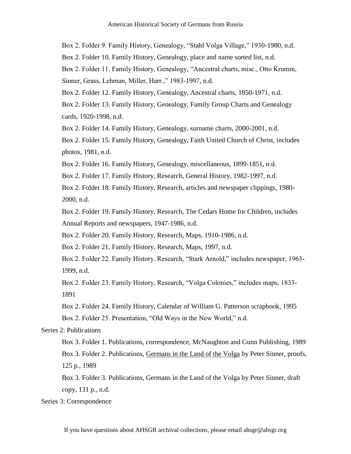Box 2. Folder 9. Family History, Genealogy, "Stahl Volga Village," 1930-1980, n.d.

Box 2. Folder 10. Family History, Genealogy, place and name sorted list, n.d.

Box 2. Folder 11. Family History, Genealogy, "Ancestral charts, misc., Otto Krumm, Sinner, Grass, Lehman, Miller, Harr.," 1983-1997, n.d.

Box 2. Folder 12. Family History, Genealogy, Ancestral charts, 1850-1971, n.d.

Box 2. Folder 13. Family History, Genealogy, Family Group Charts and Genealogy cards, 1920-1998, n.d.

Box 2. Folder 14. Family History, Genealogy, surname charts, 2000-2001, n.d.

Box 2. Folder 15. Family History, Genealogy, Faith United Church of Christ, includes photos, 1981, n.d.

Box 2. Folder 16. Family History, Genealogy, miscellaneous, 1899-1851, n.d.

Box 2. Folder 17. Family History, Research, General History, 1982-1997, n.d.

Box 2. Folder 18. Family History, Research, articles and newspaper clippings, 1980- 2000, n.d.

Box 2. Folder 19. Family History, Research, The Cedars Home for Children, includes Annual Reports and newspapers, 1947-1986, n.d.

Box 2. Folder 20. Family History, Research, Maps, 1910-1986, n.d.

Box 2. Folder 21. Family History, Research, Maps, 1997, n.d.

Box 2. Folder 22. Family History, Research, "Stark Arnold," includes newspaper, 1963- 1999, n.d.

Box 2. Folder 23. Family History, Research, "Volga Colonies," includes maps, 1833- 1891

Box 2. Folder 24. Family History, Calendar of William G. Patterson scrapbook, 1995 Box 2. Folder 25. Presentation, "Old Ways in the New World," n.d.

Series 2: Publications

Box 3. Folder 1. Publications, correspondence, McNaughton and Gunn Publishing, 1989 Box 3. Folder 2. Publications, Germans in the Land of the Volga by Peter Sinner, proofs, 125 p., 1989

Box 3. Folder 3. Publications, Germans in the Land of the Volga by Peter Sinner, draft copy, 131 p., n.d.

Series 3: Correspondence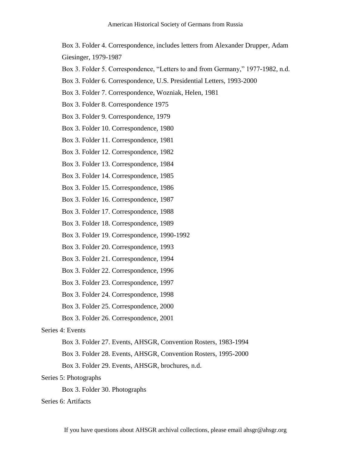Box 3. Folder 4. Correspondence, includes letters from Alexander Drupper, Adam Giesinger, 1979-1987

- Box 3. Folder 5. Correspondence, "Letters to and from Germany," 1977-1982, n.d.
- Box 3. Folder 6. Correspondence, U.S. Presidential Letters, 1993-2000
- Box 3. Folder 7. Correspondence, Wozniak, Helen, 1981
- Box 3. Folder 8. Correspondence 1975
- Box 3. Folder 9. Correspondence, 1979
- Box 3. Folder 10. Correspondence, 1980
- Box 3. Folder 11. Correspondence, 1981
- Box 3. Folder 12. Correspondence, 1982
- Box 3. Folder 13. Correspondence, 1984
- Box 3. Folder 14. Correspondence, 1985
- Box 3. Folder 15. Correspondence, 1986
- Box 3. Folder 16. Correspondence, 1987
- Box 3. Folder 17. Correspondence, 1988
- Box 3. Folder 18. Correspondence, 1989
- Box 3. Folder 19. Correspondence, 1990-1992
- Box 3. Folder 20. Correspondence, 1993
- Box 3. Folder 21. Correspondence, 1994
- Box 3. Folder 22. Correspondence, 1996
- Box 3. Folder 23. Correspondence, 1997
- Box 3. Folder 24. Correspondence, 1998
- Box 3. Folder 25. Correspondence, 2000
- Box 3. Folder 26. Correspondence, 2001

### Series 4: Events

- Box 3. Folder 27. Events, AHSGR, Convention Rosters, 1983-1994
- Box 3. Folder 28. Events, AHSGR, Convention Rosters, 1995-2000
- Box 3. Folder 29. Events, AHSGR, brochures, n.d.

## Series 5: Photographs

Box 3. Folder 30. Photographs

## Series 6: Artifacts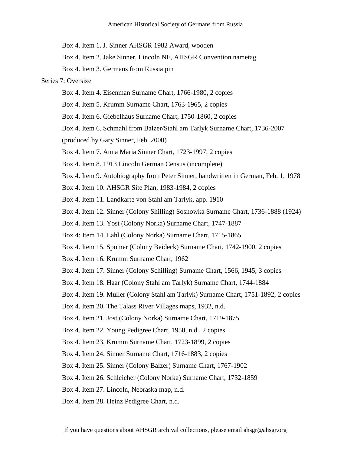Box 4. Item 1. J. Sinner AHSGR 1982 Award, wooden

Box 4. Item 2. Jake Sinner, Lincoln NE, AHSGR Convention nametag

Box 4. Item 3. Germans from Russia pin

### Series 7: Oversize

- Box 4. Item 4. Eisenman Surname Chart, 1766-1980, 2 copies
- Box 4. Item 5. Krumm Surname Chart, 1763-1965, 2 copies
- Box 4. Item 6. Giebelhaus Surname Chart, 1750-1860, 2 copies
- Box 4. Item 6. Schmahl from Balzer/Stahl am Tarlyk Surname Chart, 1736-2007

(produced by Gary Sinner, Feb. 2000)

- Box 4. Item 7. Anna Maria Sinner Chart, 1723-1997, 2 copies
- Box 4. Item 8. 1913 Lincoln German Census (incomplete)
- Box 4. Item 9. Autobiography from Peter Sinner, handwritten in German, Feb. 1, 1978
- Box 4. Item 10. AHSGR Site Plan, 1983-1984, 2 copies
- Box 4. Item 11. Landkarte von Stahl am Tarlyk, app. 1910
- Box 4. Item 12. Sinner (Colony Shilling) Sosnowka Surname Chart, 1736-1888 (1924)
- Box 4. Item 13. Yost (Colony Norka) Surname Chart, 1747-1887
- Box 4: Item 14. Lahl (Colony Norka) Surname Chart, 1715-1865
- Box 4. Item 15. Spomer (Colony Beideck) Surname Chart, 1742-1900, 2 copies
- Box 4. Item 16. Krumm Surname Chart, 1962
- Box 4. Item 17. Sinner (Colony Schilling) Surname Chart, 1566, 1945, 3 copies
- Box 4. Item 18. Haar (Colony Stahl am Tarlyk) Surname Chart, 1744-1884
- Box 4. Item 19. Muller (Colony Stahl am Tarlyk) Surname Chart, 1751-1892, 2 copies
- Box 4. Item 20. The Talass River Villages maps, 1932, n.d.
- Box 4. Item 21. Jost (Colony Norka) Surname Chart, 1719-1875
- Box 4. Item 22. Young Pedigree Chart, 1950, n.d., 2 copies
- Box 4. Item 23. Krumm Surname Chart, 1723-1899, 2 copies
- Box 4. Item 24. Sinner Surname Chart, 1716-1883, 2 copies
- Box 4. Item 25. Sinner (Colony Balzer) Surname Chart, 1767-1902
- Box 4. Item 26. Schleicher (Colony Norka) Surname Chart, 1732-1859
- Box 4. Item 27. Lincoln, Nebraska map, n.d.
- Box 4. Item 28. Heinz Pedigree Chart, n.d.